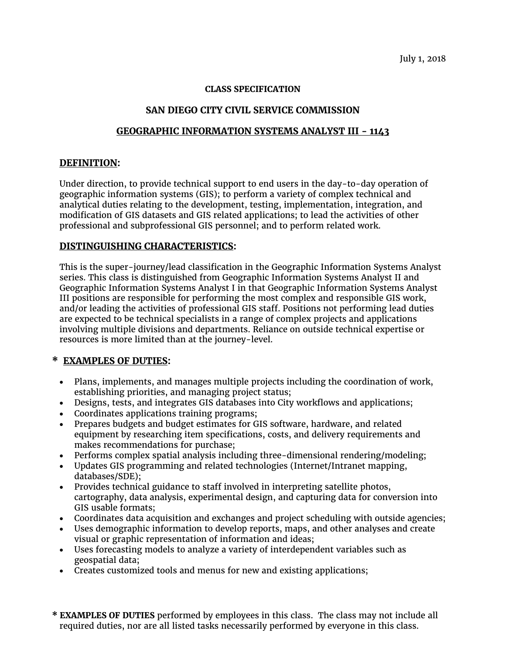July 1, 2018

#### **CLASS SPECIFICATION**

## **SAN DIEGO CITY CIVIL SERVICE COMMISSION**

## **GEOGRAPHIC INFORMATION SYSTEMS ANALYST III - 1143**

#### **DEFINITION:**

Under direction, to provide technical support to end users in the day-to-day operation of geographic information systems (GIS); to perform a variety of complex technical and analytical duties relating to the development, testing, implementation, integration, and modification of GIS datasets and GIS related applications; to lead the activities of other professional and subprofessional GIS personnel; and to perform related work.

#### **DISTINGUISHING CHARACTERISTICS:**

This is the super-journey/lead classification in the Geographic Information Systems Analyst series. This class is distinguished from Geographic Information Systems Analyst II and Geographic Information Systems Analyst I in that Geographic Information Systems Analyst III positions are responsible for performing the most complex and responsible GIS work, and/or leading the activities of professional GIS staff. Positions not performing lead duties are expected to be technical specialists in a range of complex projects and applications involving multiple divisions and departments. Reliance on outside technical expertise or resources is more limited than at the journey-level.

## **\* EXAMPLES OF DUTIES:**

- Plans, implements, and manages multiple projects including the coordination of work, establishing priorities, and managing project status;
- Designs, tests, and integrates GIS databases into City workflows and applications;
- Coordinates applications training programs;
- Prepares budgets and budget estimates for GIS software, hardware, and related equipment by researching item specifications, costs, and delivery requirements and makes recommendations for purchase;
- Performs complex spatial analysis including three-dimensional rendering/modeling;
- Updates GIS programming and related technologies (Internet/Intranet mapping, databases/SDE);
- Provides technical guidance to staff involved in interpreting satellite photos, cartography, data analysis, experimental design, and capturing data for conversion into GIS usable formats;
- Coordinates data acquisition and exchanges and project scheduling with outside agencies;
- Uses demographic information to develop reports, maps, and other analyses and create visual or graphic representation of information and ideas;
- Uses forecasting models to analyze a variety of interdependent variables such as geospatial data;
- Creates customized tools and menus for new and existing applications;
- **\* EXAMPLES OF DUTIES** performed by employees in this class. The class may not include all required duties, nor are all listed tasks necessarily performed by everyone in this class.